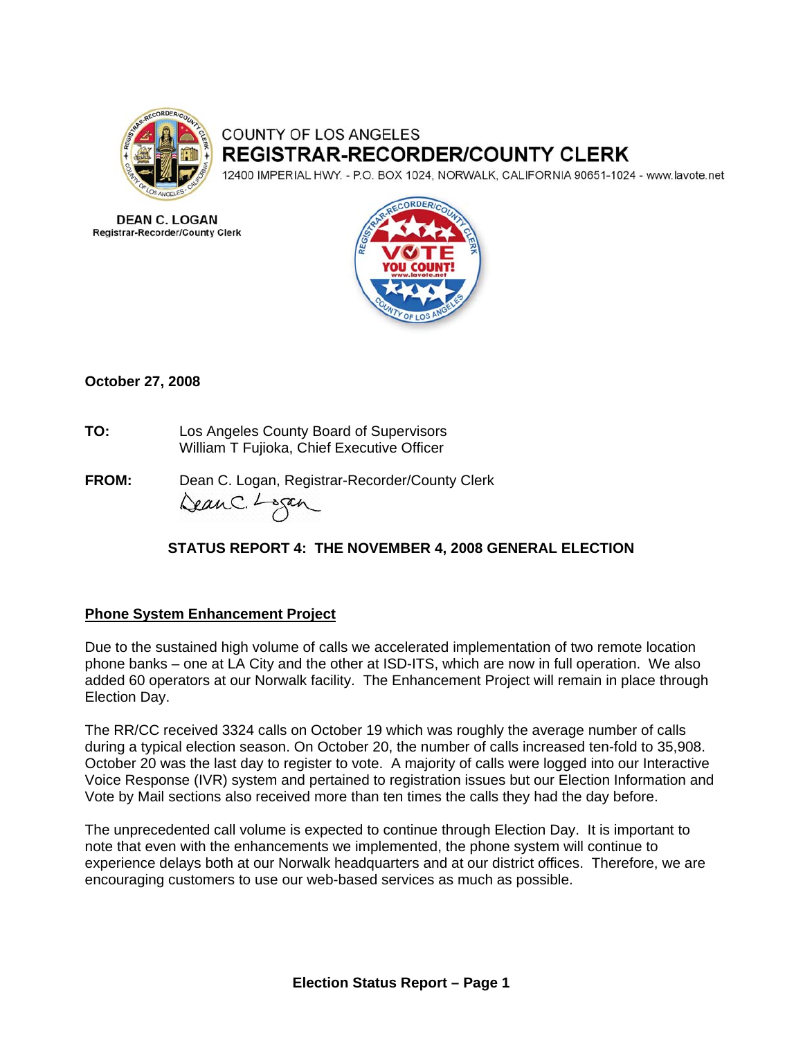

# COUNTY OF LOS ANGELES **REGISTRAR-RECORDER/COUNTY CLERK**

12400 IMPERIAL HWY. - P.O. BOX 1024, NORWALK, CALIFORNIA 90651-1024 - www.lavote.net

**DEAN C. LOGAN Registrar-Recorder/County Clerk** 



# **October 27, 2008**

- **TO:** Los Angeles County Board of Supervisors William T Fujioka, Chief Executive Officer
- **FROM:** Dean C. Logan, Registrar-Recorder/County Clerk DeanC. Logan

# **STATUS REPORT 4: THE NOVEMBER 4, 2008 GENERAL ELECTION**

# **Phone System Enhancement Project**

Due to the sustained high volume of calls we accelerated implementation of two remote location phone banks – one at LA City and the other at ISD-ITS, which are now in full operation. We also added 60 operators at our Norwalk facility. The Enhancement Project will remain in place through Election Day.

The RR/CC received 3324 calls on October 19 which was roughly the average number of calls during a typical election season. On October 20, the number of calls increased ten-fold to 35,908. October 20 was the last day to register to vote. A majority of calls were logged into our Interactive Voice Response (IVR) system and pertained to registration issues but our Election Information and Vote by Mail sections also received more than ten times the calls they had the day before.

The unprecedented call volume is expected to continue through Election Day. It is important to note that even with the enhancements we implemented, the phone system will continue to experience delays both at our Norwalk headquarters and at our district offices. Therefore, we are encouraging customers to use our web-based services as much as possible.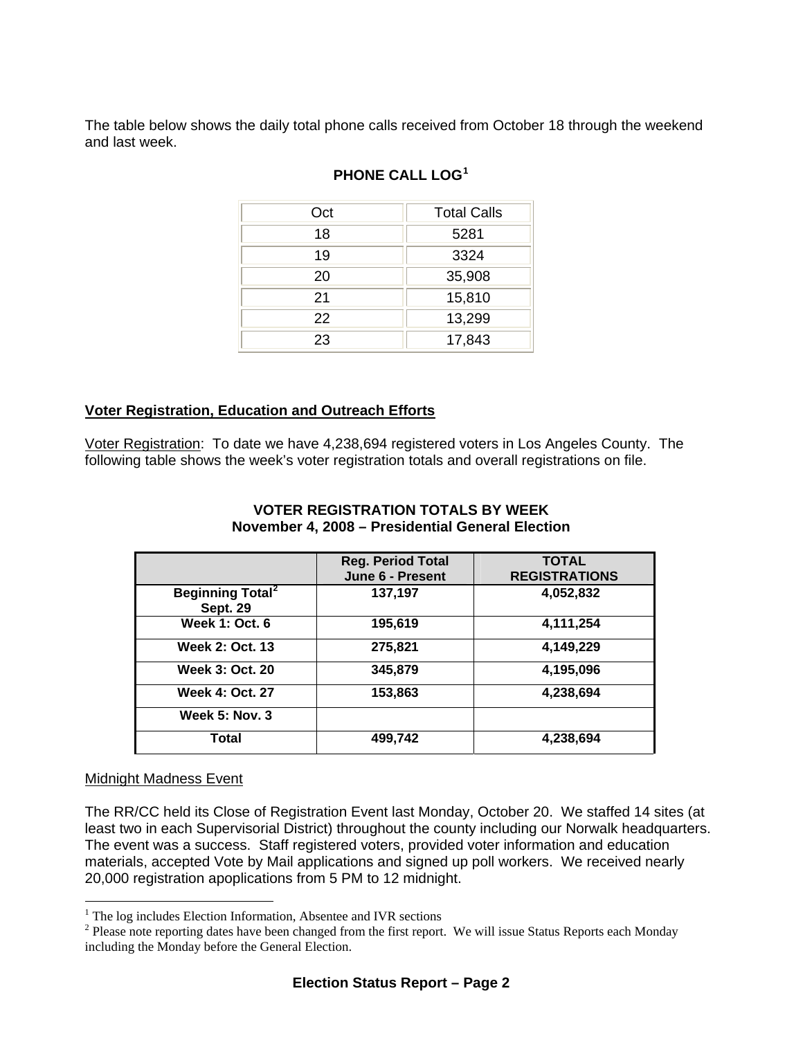The table below shows the daily total phone calls received from October 18 through the weekend and last week.

| Oct | <b>Total Calls</b> |
|-----|--------------------|
| 18  | 5281               |
| 19  | 3324               |
| 20  | 35,908             |
| 21  | 15,810             |
| 22  | 13,299             |
| 23  | 17,843             |

# **PHONE CALL LOG[1](#page-1-0)**

# **Voter Registration, Education and Outreach Efforts**

Voter Registration: To date we have 4,238,694 registered voters in Los Angeles County.The following table shows the week's voter registration totals and overall registrations on file.

|                                                       | <b>Reg. Period Total</b><br>June 6 - Present | <b>TOTAL</b><br><b>REGISTRATIONS</b> |
|-------------------------------------------------------|----------------------------------------------|--------------------------------------|
| <b>Beginning Total<sup>2</sup></b><br><b>Sept. 29</b> | 137,197                                      | 4,052,832                            |
| <b>Week 1: Oct. 6</b>                                 | 195,619                                      | 4,111,254                            |
| <b>Week 2: Oct. 13</b>                                | 275,821                                      | 4,149,229                            |
| <b>Week 3: Oct. 20</b>                                | 345,879                                      | 4,195,096                            |
| <b>Week 4: Oct. 27</b>                                | 153,863                                      | 4,238,694                            |
| <b>Week 5: Nov. 3</b>                                 |                                              |                                      |
| <b>Total</b>                                          | 499,742                                      | 4,238,694                            |

### **VOTER REGISTRATION TOTALS BY WEEK November 4, 2008 – Presidential General Election**

#### Midnight Madness Event

 $\overline{a}$ 

The RR/CC held its Close of Registration Event last Monday, October 20. We staffed 14 sites (at least two in each Supervisorial District) throughout the county including our Norwalk headquarters. The event was a success. Staff registered voters, provided voter information and education materials, accepted Vote by Mail applications and signed up poll workers. We received nearly 20,000 registration apoplications from 5 PM to 12 midnight.

 $\frac{1}{2}$  The log includes Election Information, Absentee and IVR sections  $\frac{2}{2}$  Places note reporting datas have been abanged from the first report

<span id="page-1-1"></span><span id="page-1-0"></span><sup>&</sup>lt;sup>2</sup> Please note reporting dates have been changed from the first report. We will issue Status Reports each Monday including the Monday before the General Election.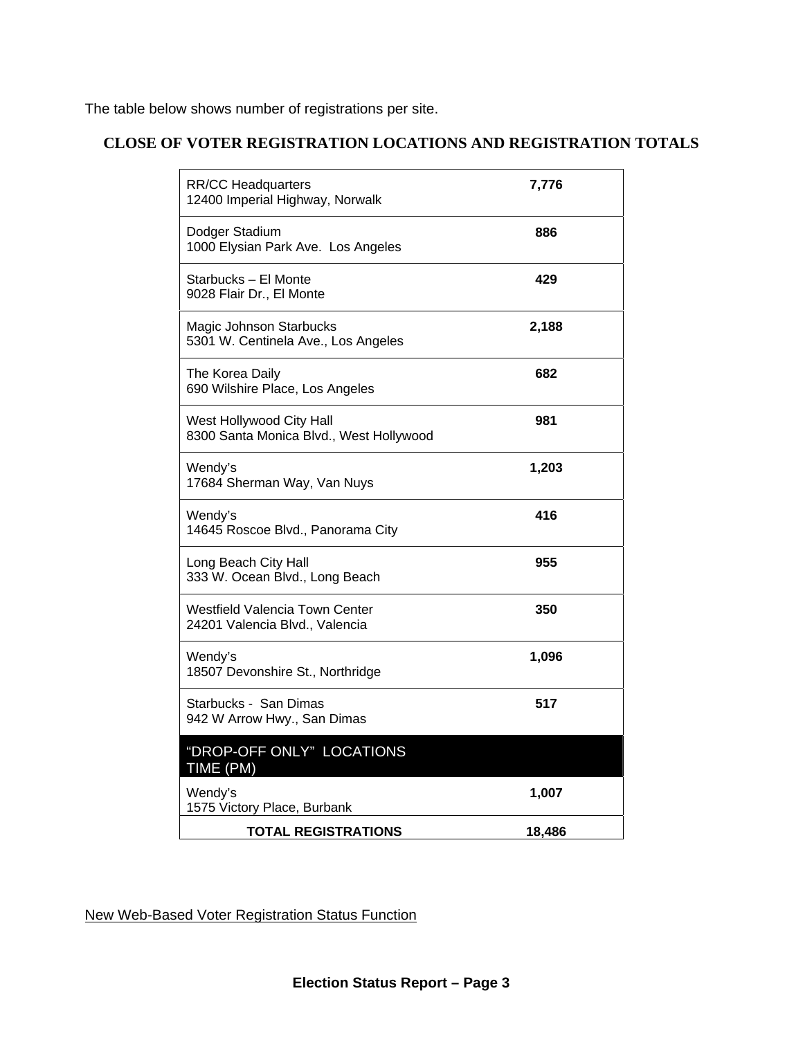The table below shows number of registrations per site.

# **CLOSE OF VOTER REGISTRATION LOCATIONS AND REGISTRATION TOTALS**

| <b>RR/CC Headquarters</b><br>12400 Imperial Highway, Norwalk        | 7,776  |
|---------------------------------------------------------------------|--------|
| Dodger Stadium<br>1000 Elysian Park Ave. Los Angeles                | 886    |
| Starbucks - El Monte<br>9028 Flair Dr., El Monte                    | 429    |
| Magic Johnson Starbucks<br>5301 W. Centinela Ave., Los Angeles      | 2,188  |
| The Korea Daily<br>690 Wilshire Place, Los Angeles                  | 682    |
| West Hollywood City Hall<br>8300 Santa Monica Blvd., West Hollywood | 981    |
| Wendy's<br>17684 Sherman Way, Van Nuys                              | 1,203  |
| Wendy's<br>14645 Roscoe Blvd., Panorama City                        | 416    |
| Long Beach City Hall<br>333 W. Ocean Blvd., Long Beach              | 955    |
| Westfield Valencia Town Center<br>24201 Valencia Blvd., Valencia    | 350    |
| Wendy's<br>18507 Devonshire St., Northridge                         | 1,096  |
| Starbucks - San Dimas<br>942 W Arrow Hwy., San Dimas                | 517    |
| "DROP-OFF ONLY" LOCATIONS<br>TIME (PM)                              |        |
| Wendy's<br>1575 Victory Place, Burbank                              | 1,007  |
| TOTAL REGISTRATIONS                                                 | 18,486 |

New Web-Based Voter Registration Status Function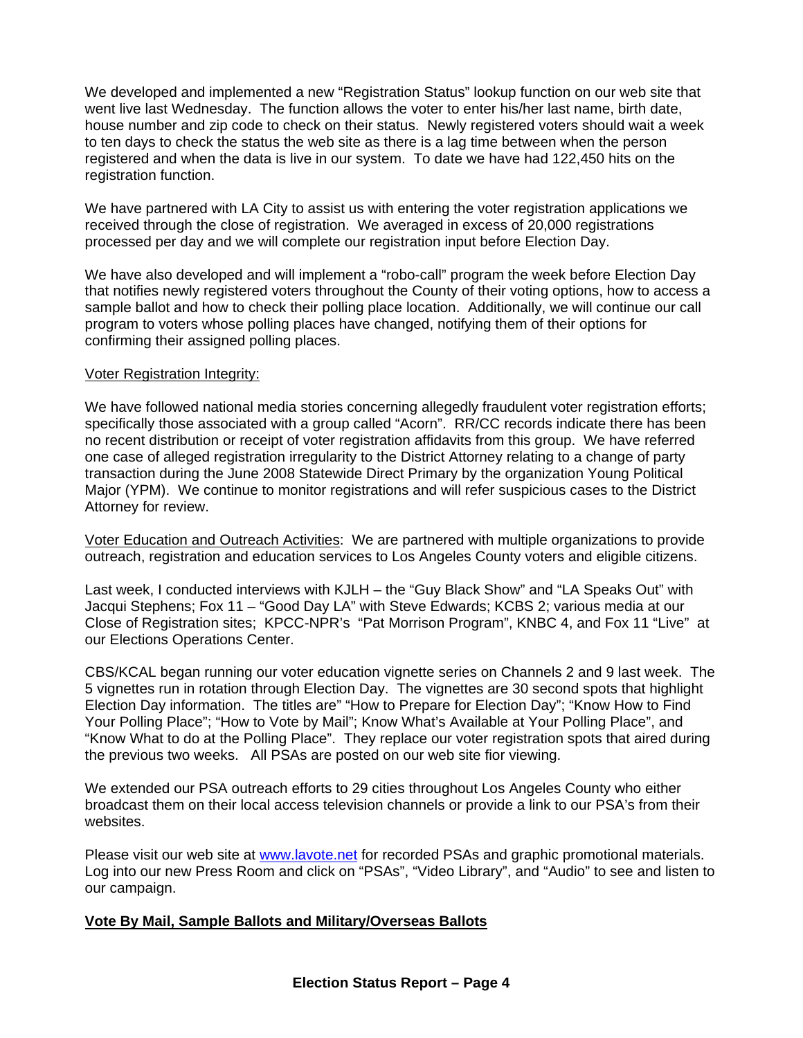We developed and implemented a new "Registration Status" lookup function on our web site that went live last Wednesday. The function allows the voter to enter his/her last name, birth date, house number and zip code to check on their status. Newly registered voters should wait a week to ten days to check the status the web site as there is a lag time between when the person registered and when the data is live in our system. To date we have had 122,450 hits on the registration function.

We have partnered with LA City to assist us with entering the voter registration applications we received through the close of registration. We averaged in excess of 20,000 registrations processed per day and we will complete our registration input before Election Day.

We have also developed and will implement a "robo-call" program the week before Election Day that notifies newly registered voters throughout the County of their voting options, how to access a sample ballot and how to check their polling place location. Additionally, we will continue our call program to voters whose polling places have changed, notifying them of their options for confirming their assigned polling places.

### Voter Registration Integrity:

We have followed national media stories concerning allegedly fraudulent voter registration efforts; specifically those associated with a group called "Acorn". RR/CC records indicate there has been no recent distribution or receipt of voter registration affidavits from this group. We have referred one case of alleged registration irregularity to the District Attorney relating to a change of party transaction during the June 2008 Statewide Direct Primary by the organization Young Political Major (YPM). We continue to monitor registrations and will refer suspicious cases to the District Attorney for review.

Voter Education and Outreach Activities: We are partnered with multiple organizations to provide outreach, registration and education services to Los Angeles County voters and eligible citizens.

Last week, I conducted interviews with KJLH – the "Guy Black Show" and "LA Speaks Out" with Jacqui Stephens; Fox 11 – "Good Day LA" with Steve Edwards; KCBS 2; various media at our Close of Registration sites; KPCC-NPR's "Pat Morrison Program", KNBC 4, and Fox 11 "Live" at our Elections Operations Center.

CBS/KCAL began running our voter education vignette series on Channels 2 and 9 last week. The 5 vignettes run in rotation through Election Day. The vignettes are 30 second spots that highlight Election Day information. The titles are" "How to Prepare for Election Day"; "Know How to Find Your Polling Place"; "How to Vote by Mail"; Know What's Available at Your Polling Place", and "Know What to do at the Polling Place". They replace our voter registration spots that aired during the previous two weeks. All PSAs are posted on our web site fior viewing.

We extended our PSA outreach efforts to 29 cities throughout Los Angeles County who either broadcast them on their local access television channels or provide a link to our PSA's from their websites.

Please visit our web site at [www.lavote.net](http://www.lavote.net/) for recorded PSAs and graphic promotional materials. Log into our new Press Room and click on "PSAs", "Video Library", and "Audio" to see and listen to our campaign.

#### **Vote By Mail, Sample Ballots and Military/Overseas Ballots**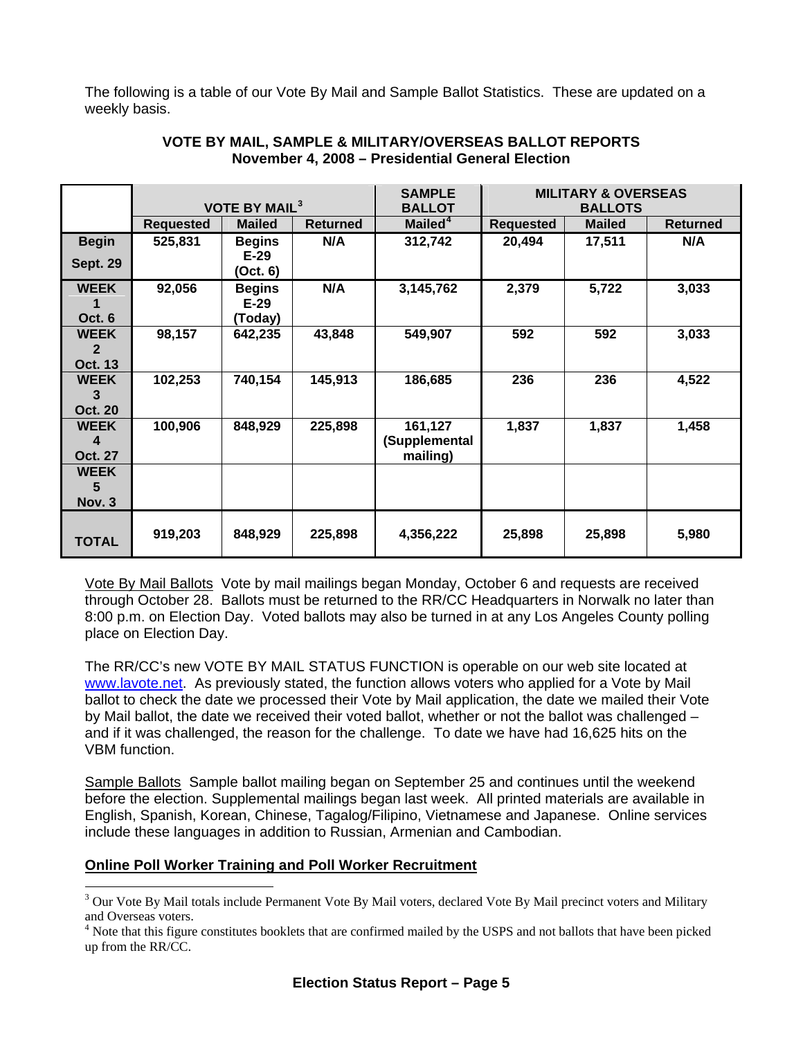The following is a table of our Vote By Mail and Sample Ballot Statistics. These are updated on a weekly basis.

|                 |                  |                                 | <b>SAMPLE</b>   | <b>MILITARY &amp; OVERSEAS</b> |                  |               |                 |
|-----------------|------------------|---------------------------------|-----------------|--------------------------------|------------------|---------------|-----------------|
|                 |                  | <b>VOTE BY MAIL<sup>3</sup></b> |                 | <b>BALLOT</b>                  | <b>BALLOTS</b>   |               |                 |
|                 | <b>Requested</b> | <b>Mailed</b>                   | <b>Returned</b> | Mailed <sup>4</sup>            | <b>Requested</b> | <b>Mailed</b> | <b>Returned</b> |
| <b>Begin</b>    | 525,831          | <b>Begins</b>                   | N/A             | 312,742                        | 20,494           | 17,511        | N/A             |
| <b>Sept. 29</b> |                  | $E-29$                          |                 |                                |                  |               |                 |
|                 |                  | (Oct. 6)                        |                 |                                |                  |               |                 |
| <b>WEEK</b>     | 92,056           | <b>Begins</b>                   | N/A             | 3,145,762                      | 2,379            | 5,722         | 3,033           |
|                 |                  | $E-29$                          |                 |                                |                  |               |                 |
| Oct. 6          |                  | (Today)                         |                 |                                |                  |               |                 |
| <b>WEEK</b>     | 98,157           | 642,235                         | 43,848          | 549,907                        | 592              | 592           | 3,033           |
| 2               |                  |                                 |                 |                                |                  |               |                 |
| <b>Oct. 13</b>  |                  |                                 |                 |                                |                  |               |                 |
| <b>WEEK</b>     | 102,253          | 740,154                         | 145,913         | 186,685                        | 236              | 236           | 4,522           |
| 3               |                  |                                 |                 |                                |                  |               |                 |
| <b>Oct. 20</b>  |                  |                                 |                 |                                |                  |               |                 |
| <b>WEEK</b>     | 100,906          | 848,929                         | 225,898         | 161,127                        | 1,837            | 1,837         | 1,458           |
| 4               |                  |                                 |                 | (Supplemental                  |                  |               |                 |
| <b>Oct. 27</b>  |                  |                                 |                 | mailing)                       |                  |               |                 |
| <b>WEEK</b>     |                  |                                 |                 |                                |                  |               |                 |
| 5               |                  |                                 |                 |                                |                  |               |                 |
| Nov. 3          |                  |                                 |                 |                                |                  |               |                 |
|                 |                  |                                 |                 |                                |                  |               |                 |
| TOTAL           | 919,203          | 848,929                         | 225,898         | 4,356,222                      | 25,898           | 25,898        | 5,980           |
|                 |                  |                                 |                 |                                |                  |               |                 |

## **VOTE BY MAIL, SAMPLE & MILITARY/OVERSEAS BALLOT REPORTS November 4, 2008 – Presidential General Election**

Vote By Mail Ballots Vote by mail mailings began Monday, October 6 and requests are received through October 28. Ballots must be returned to the RR/CC Headquarters in Norwalk no later than 8:00 p.m. on Election Day. Voted ballots may also be turned in at any Los Angeles County polling place on Election Day.

The RR/CC's new VOTE BY MAIL STATUS FUNCTION is operable on our web site located at [www.lavote.net](http://www.lavote.net/). As previously stated, the function allows voters who applied for a Vote by Mail ballot to check the date we processed their Vote by Mail application, the date we mailed their Vote by Mail ballot, the date we received their voted ballot, whether or not the ballot was challenged – and if it was challenged, the reason for the challenge. To date we have had 16,625 hits on the VBM function.

Sample Ballots Sample ballot mailing began on September 25 and continues until the weekend before the election. Supplemental mailings began last week. All printed materials are available in English, Spanish, Korean, Chinese, Tagalog/Filipino, Vietnamese and Japanese. Online services include these languages in addition to Russian, Armenian and Cambodian.

# **Online Poll Worker Training and Poll Worker Recruitment**

 $\overline{a}$ 

<span id="page-4-0"></span><sup>&</sup>lt;sup>3</sup> Our Vote By Mail totals include Permanent Vote By Mail voters, declared Vote By Mail precinct voters and Military and Overseas voters.

<span id="page-4-1"></span><sup>&</sup>lt;sup>4</sup> Note that this figure constitutes booklets that are confirmed mailed by the USPS and not ballots that have been picked up from the RR/CC.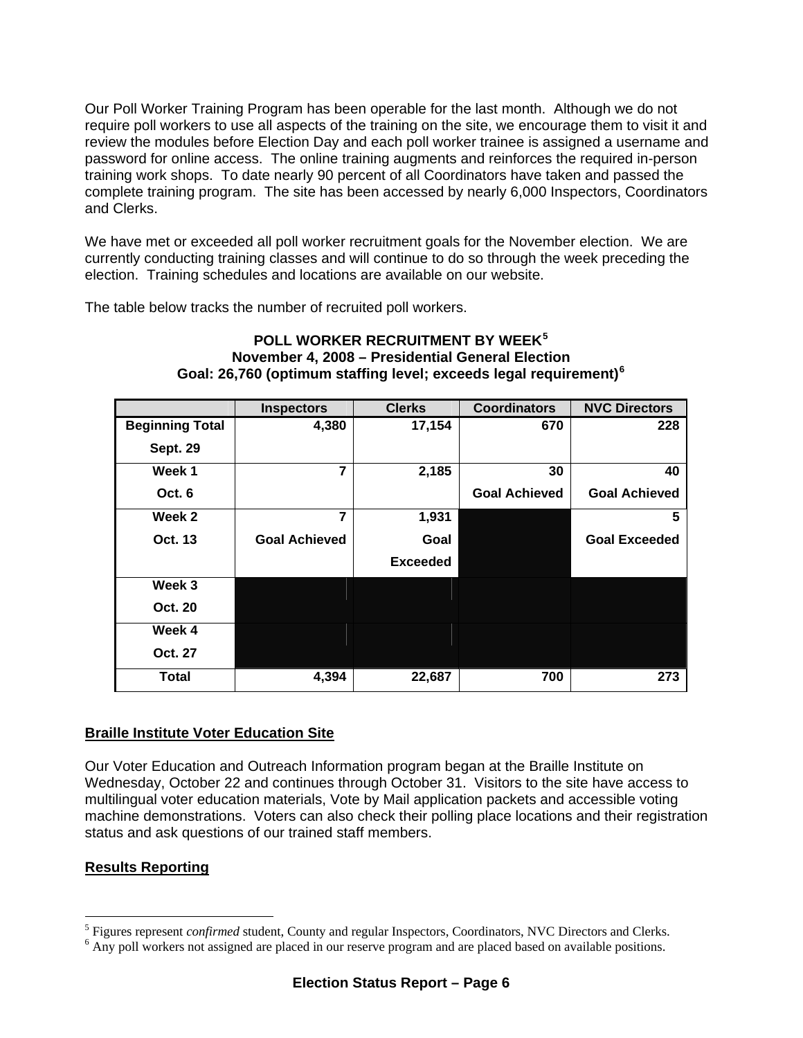Our Poll Worker Training Program has been operable for the last month. Although we do not require poll workers to use all aspects of the training on the site, we encourage them to visit it and review the modules before Election Day and each poll worker trainee is assigned a username and password for online access. The online training augments and reinforces the required in-person training work shops. To date nearly 90 percent of all Coordinators have taken and passed the complete training program. The site has been accessed by nearly 6,000 Inspectors, Coordinators and Clerks.

We have met or exceeded all poll worker recruitment goals for the November election. We are currently conducting training classes and will continue to do so through the week preceding the election. Training schedules and locations are available on our website.

The table below tracks the number of recruited poll workers.

|                        | <b>Inspectors</b>    | <b>Clerks</b>   | <b>Coordinators</b>  | <b>NVC Directors</b> |
|------------------------|----------------------|-----------------|----------------------|----------------------|
| <b>Beginning Total</b> | 4,380                | 17,154          | 670                  | 228                  |
| <b>Sept. 29</b>        |                      |                 |                      |                      |
| Week 1                 | $\overline{7}$       | 2,185           | 30                   | 40                   |
| Oct. 6                 |                      |                 | <b>Goal Achieved</b> | <b>Goal Achieved</b> |
| Week 2                 | 7                    | 1,931           |                      | 5                    |
| <b>Oct. 13</b>         | <b>Goal Achieved</b> | Goal            |                      | <b>Goal Exceeded</b> |
|                        |                      | <b>Exceeded</b> |                      |                      |
| Week 3                 |                      |                 |                      |                      |
| <b>Oct. 20</b>         |                      |                 |                      |                      |
| Week 4                 |                      |                 |                      |                      |
| Oct. 27                |                      |                 |                      |                      |
| <b>Total</b>           | 4,394                | 22,687          | 700                  | 273                  |

#### **POLL WORKER RECRUITMENT BY WEEK[5](#page-5-0) November 4, 2008 – Presidential General Election Goal: 26,760 (optimum staffing level; exceeds legal requirement)[6](#page-5-1)**

# **Braille Institute Voter Education Site**

Our Voter Education and Outreach Information program began at the Braille Institute on Wednesday, October 22 and continues through October 31. Visitors to the site have access to multilingual voter education materials, Vote by Mail application packets and accessible voting machine demonstrations. Voters can also check their polling place locations and their registration status and ask questions of our trained staff members.

# **Results Reporting**

 $\overline{a}$ 

<span id="page-5-0"></span> $^5$  Figures represent *confirmed* student, County and regular Inspectors, Coordinators, NVC Directors and Clerks.

<span id="page-5-1"></span> $6$  Any poll workers not assigned are placed in our reserve program and are placed based on available positions.